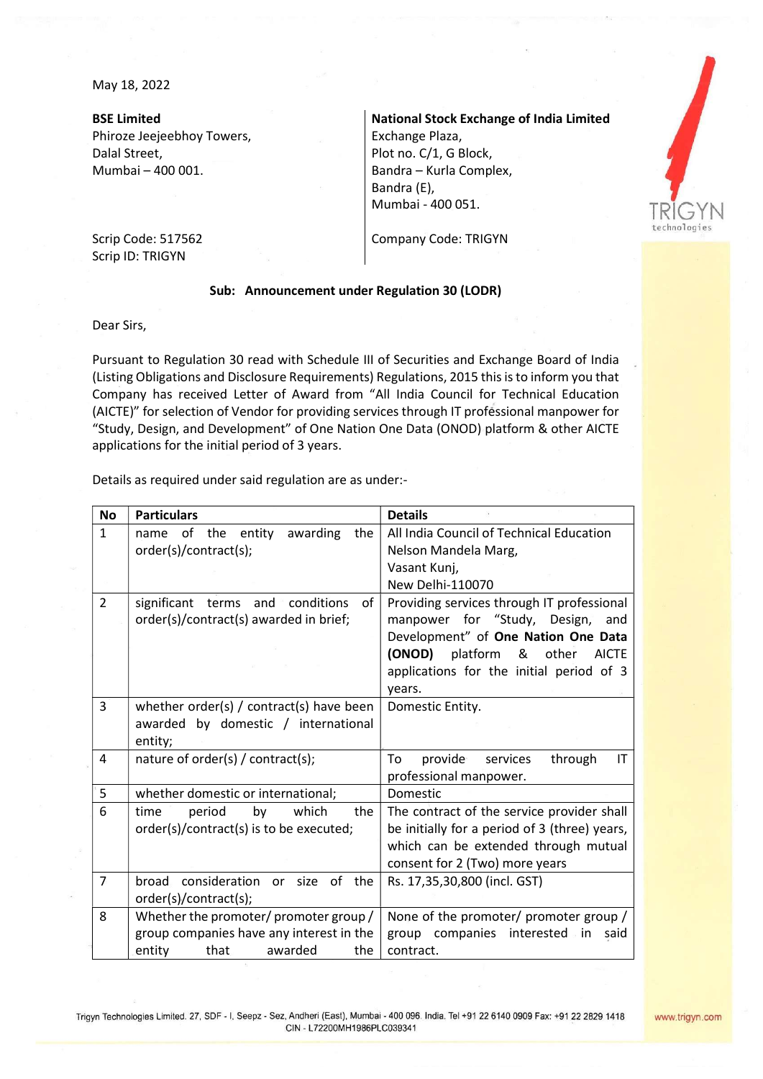May 18, 2022

BSE Limited Phiroze Jeejeebhoy Towers, Dalal Street, Mumbai – 400 001.

National Stock Exchange of India Limited Exchange Plaza, Plot no. C/1, G Block, Bandra – Kurla Complex, Bandra (E), Mumbai - 400 051.



Company Code: TRIGYN

## Scrip Code: 517562 Scrip ID: TRIGYN

## Sub: Announcement under Regulation 30 (LODR)

Dear Sirs,

Pursuant to Regulation 30 read with Schedule III of Securities and Exchange Board of India (Listing Obligations and Disclosure Requirements) Regulations, 2015 this is to inform you that Company has received Letter of Award from "All India Council for Technical Education (AICTE)" for selection of Vendor for providing services through IT professional manpower for "Study, Design, and Development" of One Nation One Data (ONOD) platform & other AICTE applications for the initial period of 3 years.

Details as required under said regulation are as under:-

| <b>No</b>      | <b>Particulars</b>                                                    | <b>Details</b>                                |
|----------------|-----------------------------------------------------------------------|-----------------------------------------------|
| $\mathbf{1}$   | of the entity<br>the<br>awarding<br>name                              | All India Council of Technical Education      |
|                | order(s)/contract(s);                                                 | Nelson Mandela Marg,                          |
|                |                                                                       | Vasant Kunj,                                  |
|                |                                                                       | New Delhi-110070                              |
| $\overline{2}$ | significant terms<br>and $\overline{\phantom{a}}$<br>conditions<br>of | Providing services through IT professional    |
|                | order(s)/contract(s) awarded in brief;                                | manpower for "Study, Design,"<br>and          |
|                |                                                                       | Development" of One Nation One Data           |
|                |                                                                       | (ONOD) platform & other<br><b>AICTE</b>       |
|                |                                                                       | applications for the initial period of 3      |
|                |                                                                       | vears.                                        |
| 3              | whether order(s) $/$ contract(s) have been                            | Domestic Entity.                              |
|                | awarded by domestic / international                                   |                                               |
|                | entity;                                                               |                                               |
| 4              | nature of order(s) / contract(s);                                     | To<br>provide<br>through<br>services<br>IT    |
|                |                                                                       | professional manpower.                        |
| 5              | whether domestic or international;                                    | Domestic                                      |
| 6              | which<br>time<br>period<br>by<br>the                                  | The contract of the service provider shall    |
|                | order(s)/contract(s) is to be executed;                               | be initially for a period of 3 (three) years, |
|                |                                                                       | which can be extended through mutual          |
|                |                                                                       | consent for 2 (Two) more years                |
| $\overline{7}$ | broad consideration or size of the                                    | Rs. 17,35,30,800 (incl. GST)                  |
|                | order(s)/contract(s);                                                 |                                               |
| 8              | Whether the promoter/ promoter group/                                 | None of the promoter/ promoter group /        |
|                | group companies have any interest in the                              | group companies<br>interested in<br>said      |
|                | entity<br>that<br>awarded<br>the                                      | contract.                                     |